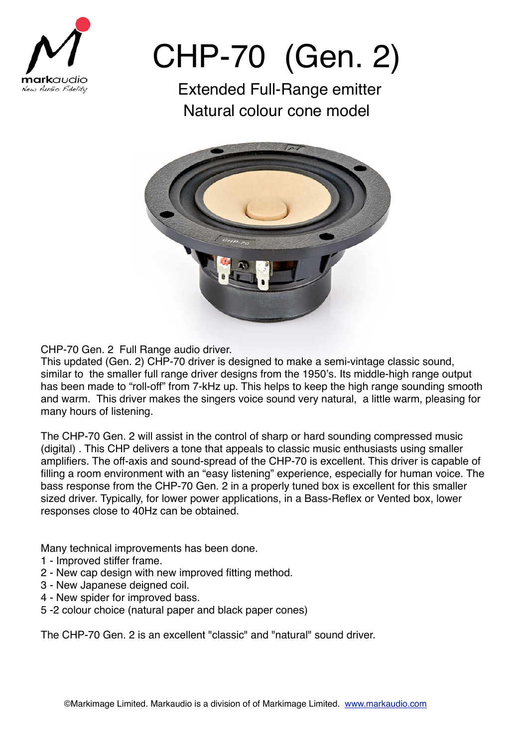

## CHP-70 (Gen. 2)

Extended Full-Range emitter Natural colour cone model



CHP-70 Gen. 2 Full Range audio driver.

This updated (Gen. 2) CHP-70 driver is designed to make a semi-vintage classic sound, similar to the smaller full range driver designs from the 1950's. Its middle-high range output has been made to "roll-off" from 7-kHz up. This helps to keep the high range sounding smooth and warm. This driver makes the singers voice sound very natural, a little warm, pleasing for many hours of listening.

The CHP-70 Gen. 2 will assist in the control of sharp or hard sounding compressed music (digital) . This CHP delivers a tone that appeals to classic music enthusiasts using smaller amplifiers. The off-axis and sound-spread of the CHP-70 is excellent. This driver is capable of filling a room environment with an "easy listening" experience, especially for human voice. The bass response from the CHP-70 Gen. 2 in a properly tuned box is excellent for this smaller sized driver. Typically, for lower power applications, in a Bass-Reflex or Vented box, lower responses close to 40Hz can be obtained.

Many technical improvements has been done.

- 1 Improved stiffer frame.
- 2 New cap design with new improved fitting method.
- 3 New Japanese deigned coil.
- 4 New spider for improved bass.
- 5 -2 colour choice (natural paper and black paper cones)

The CHP-70 Gen. 2 is an excellent "classic" and "natural" sound driver.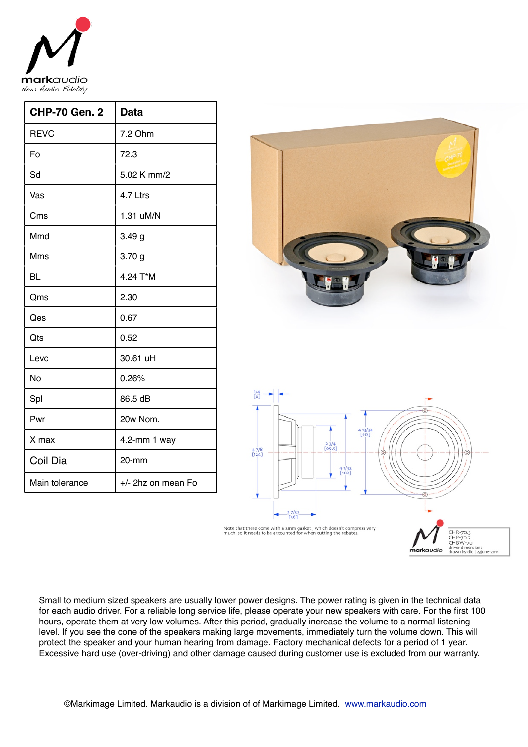

| <b>CHP-70 Gen. 2</b> | <b>Data</b>        |
|----------------------|--------------------|
| <b>REVC</b>          | 7.2 Ohm            |
| Fo                   | 72.3               |
| Sd                   | 5.02 K mm/2        |
| Vas                  | 4.7 Ltrs           |
| Cms                  | 1.31 uM/N          |
| Mmd                  | 3.49 <sub>g</sub>  |
| Mms                  | 3.70 <sub>g</sub>  |
| <b>BL</b>            | 4.24 T*M           |
| Qms                  | 2.30               |
| Qes                  | 0.67               |
| Qts                  | 0.52               |
| Levc                 | 30.61 uH           |
| No                   | 0.26%              |
| Spl                  | 86.5 dB            |
| Pwr                  | 20w Nom.           |
| X max                | 4.2-mm 1 way       |
| Coil Dia             | 20-mm              |
| Main tolerance       | +/- 2hz on mean Fo |



Small to medium sized speakers are usually lower power designs. The power rating is given in the technical data for each audio driver. For a reliable long service life, please operate your new speakers with care. For the first 100 hours, operate them at very low volumes. After this period, gradually increase the volume to a normal listening level. If you see the cone of the speakers making large movements, immediately turn the volume down. This will protect the speaker and your human hearing from damage. Factory mechanical defects for a period of 1 year. Excessive hard use (over-driving) and other damage caused during customer use is excluded from our warranty.